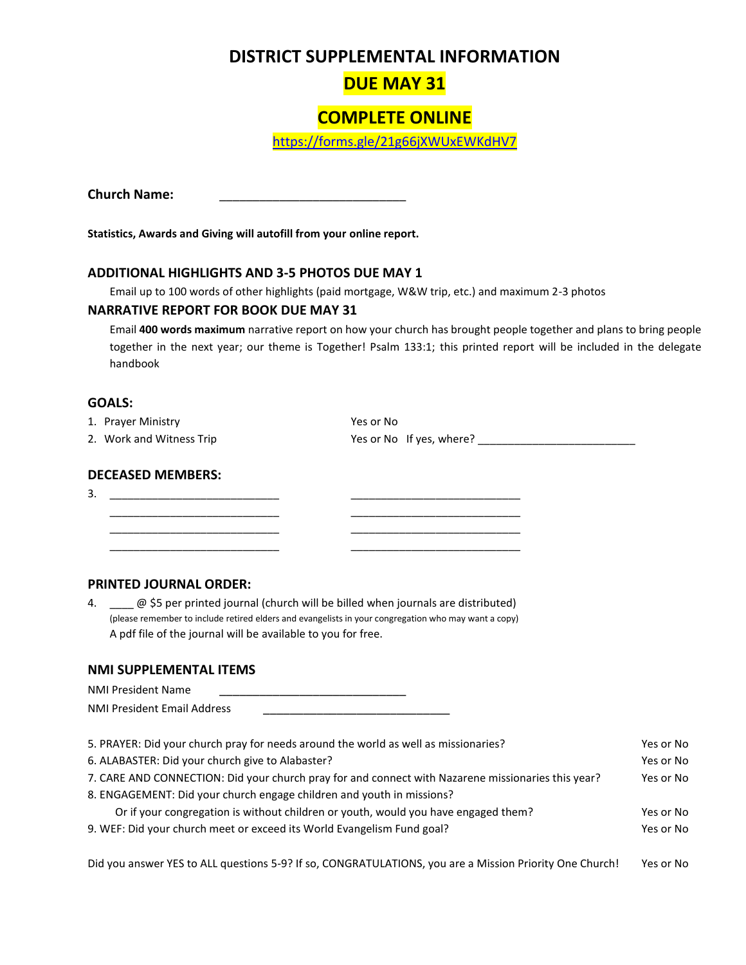# **DISTRICT SUPPLEMENTAL INFORMATION**

# **DUE MAY 31**

# **COMPLETE ONLINE**

<https://forms.gle/21g66jXWUxEWKdHV7>

**Church Name:** \_\_\_\_\_\_\_\_\_\_\_\_\_\_\_\_\_\_\_\_\_\_\_\_\_\_\_\_

**Statistics, Awards and Giving will autofill from your online report.**

#### **ADDITIONAL HIGHLIGHTS AND 3-5 PHOTOS DUE MAY 1**

Email up to 100 words of other highlights (paid mortgage, W&W trip, etc.) and maximum 2-3 photos

#### **NARRATIVE REPORT FOR BOOK DUE MAY 31**

Email **400 words maximum** narrative report on how your church has brought people together and plans to bring people together in the next year; our theme is Together! Psalm 133:1; this printed report will be included in the delegate handbook

## **GOALS:**

1. Prayer Ministry **Yes or No.** Yes or No. 2. Work and Witness Trip  $Y$ es or No If yes, where? \_\_\_\_\_\_\_\_\_\_\_\_\_\_\_\_\_\_\_\_\_\_\_\_\_\_\_\_

## **DECEASED MEMBERS:**

| - |  |
|---|--|
|   |  |

#### **PRINTED JOURNAL ORDER:**

4.  $\oslash$  \$5 per printed journal (church will be billed when journals are distributed) (please remember to include retired elders and evangelists in your congregation who may want a copy) A pdf file of the journal will be available to you for free.

\_\_\_\_\_\_\_\_\_\_\_\_\_\_\_\_\_\_\_\_\_\_\_\_\_\_\_\_ \_\_\_\_\_\_\_\_\_\_\_\_\_\_\_\_\_\_\_\_\_\_\_\_\_\_\_\_ \_\_\_\_\_\_\_\_\_\_\_\_\_\_\_\_\_\_\_\_\_\_\_\_\_\_\_\_ \_\_\_\_\_\_\_\_\_\_\_\_\_\_\_\_\_\_\_\_\_\_\_\_\_\_\_\_ \_\_\_\_\_\_\_\_\_\_\_\_\_\_\_\_\_\_\_\_\_\_\_\_\_\_\_\_ \_\_\_\_\_\_\_\_\_\_\_\_\_\_\_\_\_\_\_\_\_\_\_\_\_\_\_\_

#### **NMI SUPPLEMENTAL ITEMS**

| <b>NMI President Name</b>          |  |
|------------------------------------|--|
| <b>NMI President Email Address</b> |  |

| 5. PRAYER: Did your church pray for needs around the world as well as missionaries?                |           |
|----------------------------------------------------------------------------------------------------|-----------|
| 6. ALABASTER: Did your church give to Alabaster?                                                   | Yes or No |
| 7. CARE AND CONNECTION: Did your church pray for and connect with Nazarene missionaries this year? |           |
| 8. ENGAGEMENT: Did your church engage children and youth in missions?                              |           |
| Or if your congregation is without children or youth, would you have engaged them?                 | Yes or No |
| 9. WEF: Did your church meet or exceed its World Evangelism Fund goal?                             |           |
|                                                                                                    |           |

Did you answer YES to ALL questions 5-9? If so, CONGRATULATIONS, you are a Mission Priority One Church! Yes or No